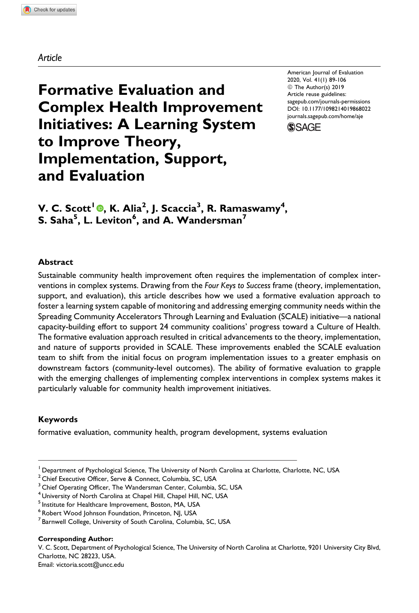## Article

Formative Evaluation and Complex Health Improvement Initiatives: A Learning System to Improve Theory, Implementation, Support, and Evaluation

American Journal of Evaluation 2020, Vol. 41(1) 89-106 © The Author(s) 2019 Article reuse guidelines: [sagepub.com/journals-permissions](https://sagepub.com/journals-permissions) [DOI: 10.1177/1098214019868022](https://doi.org/10.1177/1098214019868022) [journals.sagepub.com/home/aje](http://journals.sagepub.com/home/aje)



V. C. Scott<sup>1</sup> ®, K. Alia<sup>2</sup>, J. Scaccia<sup>3</sup>, R. Ramaswamy<sup>4</sup>, S. Saha $^5$ , L. Leviton $^6$ , and A. Wandersman $^7$ 

#### Abstract

Sustainable community health improvement often requires the implementation of complex interventions in complex systems. Drawing from the Four Keys to Success frame (theory, implementation, support, and evaluation), this article describes how we used a formative evaluation approach to foster a learning system capable of monitoring and addressing emerging community needs within the Spreading Community Accelerators Through Learning and Evaluation (SCALE) initiative—a national capacity-building effort to support 24 community coalitions' progress toward a Culture of Health. The formative evaluation approach resulted in critical advancements to the theory, implementation, and nature of supports provided in SCALE. These improvements enabled the SCALE evaluation team to shift from the initial focus on program implementation issues to a greater emphasis on downstream factors (community-level outcomes). The ability of formative evaluation to grapple with the emerging challenges of implementing complex interventions in complex systems makes it particularly valuable for community health improvement initiatives.

### Keywords

formative evaluation, community health, program development, systems evaluation

<sup>2</sup> Chief Executive Officer, Serve & Connect, Columbia, SC, USA

#### Corresponding Author:

V. C. Scott, Department of Psychological Science, The University of North Carolina at Charlotte, 9201 University City Blvd, Charlotte, NC 28223, USA.

Email: [victoria.scott@uncc.edu](mailto:victoria.scott@uncc.edu)

<sup>&</sup>lt;sup>1</sup> Department of Psychological Science, The University of North Carolina at Charlotte, Charlotte, NC, USA

<sup>&</sup>lt;sup>3</sup> Chief Operating Officer, The Wandersman Center, Columbia, SC, USA

<sup>4</sup> University of North Carolina at Chapel Hill, Chapel Hill, NC, USA

<sup>5</sup> Institute for Healthcare Improvement, Boston, MA, USA

<sup>6</sup> Robert Wood Johnson Foundation, Princeton, NJ, USA

<sup>&</sup>lt;sup>7</sup> Barnwell College, University of South Carolina, Columbia, SC, USA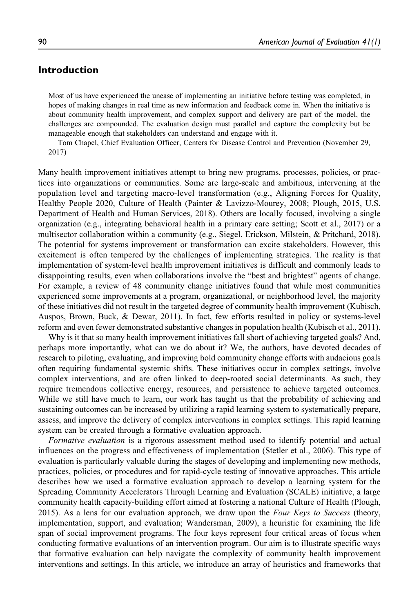## Introduction

Most of us have experienced the unease of implementing an initiative before testing was completed, in hopes of making changes in real time as new information and feedback come in. When the initiative is about community health improvement, and complex support and delivery are part of the model, the challenges are compounded. The evaluation design must parallel and capture the complexity but be manageable enough that stakeholders can understand and engage with it.

Tom Chapel, Chief Evaluation Officer, Centers for Disease Control and Prevention (November 29, 2017)

Many health improvement initiatives attempt to bring new programs, processes, policies, or practices into organizations or communities. Some are large-scale and ambitious, intervening at the population level and targeting macro-level transformation (e.g., Aligning Forces for Quality, Healthy People 2020, Culture of Health (Painter & Lavizzo-Mourey, 2008; Plough, 2015, U.S. Department of Health and Human Services, 2018). Others are locally focused, involving a single organization (e.g., integrating behavioral health in a primary care setting; Scott et al., 2017) or a multisector collaboration within a community (e.g., Siegel, Erickson, Milstein, & Pritchard, 2018). The potential for systems improvement or transformation can excite stakeholders. However, this excitement is often tempered by the challenges of implementing strategies. The reality is that implementation of system-level health improvement initiatives is difficult and commonly leads to disappointing results, even when collaborations involve the "best and brightest" agents of change. For example, a review of 48 community change initiatives found that while most communities experienced some improvements at a program, organizational, or neighborhood level, the majority of these initiatives did not result in the targeted degree of community health improvement (Kubisch, Auspos, Brown, Buck, & Dewar, 2011). In fact, few efforts resulted in policy or systems-level reform and even fewer demonstrated substantive changes in population health (Kubisch et al., 2011).

Why is it that so many health improvement initiatives fall short of achieving targeted goals? And, perhaps more importantly, what can we do about it? We, the authors, have devoted decades of research to piloting, evaluating, and improving bold community change efforts with audacious goals often requiring fundamental systemic shifts. These initiatives occur in complex settings, involve complex interventions, and are often linked to deep-rooted social determinants. As such, they require tremendous collective energy, resources, and persistence to achieve targeted outcomes. While we still have much to learn, our work has taught us that the probability of achieving and sustaining outcomes can be increased by utilizing a rapid learning system to systematically prepare, assess, and improve the delivery of complex interventions in complex settings. This rapid learning system can be created through a formative evaluation approach.

Formative evaluation is a rigorous assessment method used to identify potential and actual influences on the progress and effectiveness of implementation (Stetler et al., 2006). This type of evaluation is particularly valuable during the stages of developing and implementing new methods, practices, policies, or procedures and for rapid-cycle testing of innovative approaches. This article describes how we used a formative evaluation approach to develop a learning system for the Spreading Community Accelerators Through Learning and Evaluation (SCALE) initiative, a large community health capacity-building effort aimed at fostering a national Culture of Health (Plough, 2015). As a lens for our evaluation approach, we draw upon the Four Keys to Success (theory, implementation, support, and evaluation; Wandersman, 2009), a heuristic for examining the life span of social improvement programs. The four keys represent four critical areas of focus when conducting formative evaluations of an intervention program. Our aim is to illustrate specific ways that formative evaluation can help navigate the complexity of community health improvement interventions and settings. In this article, we introduce an array of heuristics and frameworks that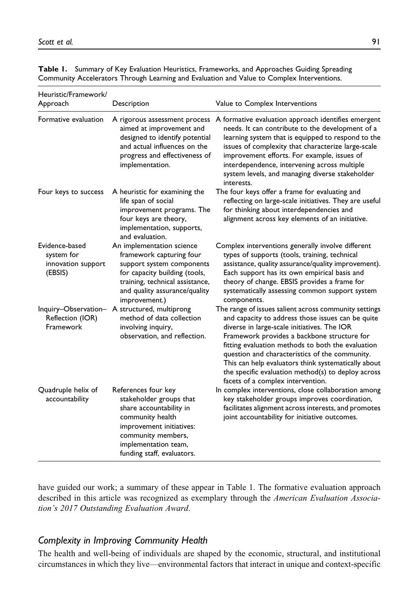| Heuristic/Framework/<br>Approach                              | Description                                                                                                                                                                                              | Value to Complex Interventions                                                                                                                                                                                                                                                                                                                                                                                                                                    |
|---------------------------------------------------------------|----------------------------------------------------------------------------------------------------------------------------------------------------------------------------------------------------------|-------------------------------------------------------------------------------------------------------------------------------------------------------------------------------------------------------------------------------------------------------------------------------------------------------------------------------------------------------------------------------------------------------------------------------------------------------------------|
| Formative evaluation                                          | aimed at improvement and<br>designed to identify potential<br>and actual influences on the<br>progress and effectiveness of<br>implementation.                                                           | A rigorous assessment process A formative evaluation approach identifies emergent<br>needs. It can contribute to the development of a<br>learning system that is equipped to respond to the<br>issues of complexity that characterize large-scale<br>improvement efforts. For example, issues of<br>interdependence, intervening across multiple<br>system levels, and managing diverse stakeholder<br>interests.                                                 |
| Four keys to success                                          | A heuristic for examining the<br>life span of social<br>improvement programs. The<br>four keys are theory,<br>implementation, supports,<br>and evaluation.                                               | The four keys offer a frame for evaluating and<br>reflecting on large-scale initiatives. They are useful<br>for thinking about interdependencies and<br>alignment across key elements of an initiative.                                                                                                                                                                                                                                                           |
| Evidence-based<br>system for<br>innovation support<br>(EBSIS) | An implementation science<br>framework capturing four<br>support system components<br>for capacity building (tools,<br>training, technical assistance,<br>and quality assurance/quality<br>improvement.) | Complex interventions generally involve different<br>types of supports (tools, training, technical<br>assistance, quality assurance/quality improvement).<br>Each support has its own empirical basis and<br>theory of change. EBSIS provides a frame for<br>systematically assessing common support system<br>components.                                                                                                                                        |
| Inquiry-Observation-<br>Reflection (IOR)<br>Framework         | A structured, multiprong<br>method of data collection<br>involving inquiry,<br>observation, and reflection.                                                                                              | The range of issues salient across community settings<br>and capacity to address those issues can be quite<br>diverse in large-scale initiatives. The IOR<br>Framework provides a backbone structure for<br>fitting evaluation methods to both the evaluation<br>question and characteristics of the community.<br>This can help evaluators think systematically about<br>the specific evaluation method(s) to deploy across<br>facets of a complex intervention. |
| Quadruple helix of<br>accountability                          | References four key<br>stakeholder groups that<br>share accountability in<br>community health<br>improvement initiatives:<br>community members,<br>implementation team,<br>funding staff, evaluators.    | In complex interventions, close collaboration among<br>key stakeholder groups improves coordination,<br>facilitates alignment across interests, and promotes<br>joint accountability for initiative outcomes.                                                                                                                                                                                                                                                     |

Table 1. Summary of Key Evaluation Heuristics, Frameworks, and Approaches Guiding Spreading Community Accelerators Through Learning and Evaluation and Value to Complex Interventions.

have guided our work; a summary of these appear in Table 1. The formative evaluation approach described in this article was recognized as exemplary through the American Evaluation Association's 2017 Outstanding Evaluation Award.

## Complexity in Improving Community Health

The health and well-being of individuals are shaped by the economic, structural, and institutional circumstances in which they live—environmental factors that interact in unique and context-specific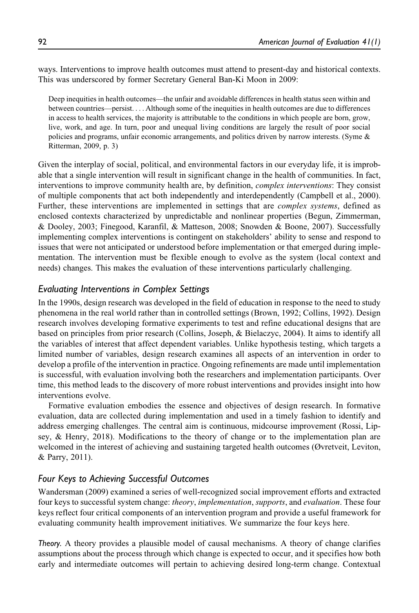ways. Interventions to improve health outcomes must attend to present-day and historical contexts. This was underscored by former Secretary General Ban-Ki Moon in 2009:

Deep inequities in health outcomes—the unfair and avoidable differences in health status seen within and between countries—persist. ... Although some of the inequities in health outcomes are due to differences in access to health services, the majority is attributable to the conditions in which people are born, grow, live, work, and age. In turn, poor and unequal living conditions are largely the result of poor social policies and programs, unfair economic arrangements, and politics driven by narrow interests. (Syme & Ritterman, 2009, p. 3)

Given the interplay of social, political, and environmental factors in our everyday life, it is improbable that a single intervention will result in significant change in the health of communities. In fact, interventions to improve community health are, by definition, complex interventions: They consist of multiple components that act both independently and interdependently (Campbell et al., 2000). Further, these interventions are implemented in settings that are complex systems, defined as enclosed contexts characterized by unpredictable and nonlinear properties (Begun, Zimmerman, & Dooley, 2003; Finegood, Karanfil, & Matteson, 2008; Snowden & Boone, 2007). Successfully implementing complex interventions is contingent on stakeholders' ability to sense and respond to issues that were not anticipated or understood before implementation or that emerged during implementation. The intervention must be flexible enough to evolve as the system (local context and needs) changes. This makes the evaluation of these interventions particularly challenging.

## Evaluating Interventions in Complex Settings

In the 1990s, design research was developed in the field of education in response to the need to study phenomena in the real world rather than in controlled settings (Brown, 1992; Collins, 1992). Design research involves developing formative experiments to test and refine educational designs that are based on principles from prior research (Collins, Joseph, & Bielaczyc, 2004). It aims to identify all the variables of interest that affect dependent variables. Unlike hypothesis testing, which targets a limited number of variables, design research examines all aspects of an intervention in order to develop a profile of the intervention in practice. Ongoing refinements are made until implementation is successful, with evaluation involving both the researchers and implementation participants. Over time, this method leads to the discovery of more robust interventions and provides insight into how interventions evolve.

Formative evaluation embodies the essence and objectives of design research. In formative evaluation, data are collected during implementation and used in a timely fashion to identify and address emerging challenges. The central aim is continuous, midcourse improvement (Rossi, Lipsey,  $\&$  Henry, 2018). Modifications to the theory of change or to the implementation plan are welcomed in the interest of achieving and sustaining targeted health outcomes (Øvretveit, Leviton, & Parry, 2011).

### Four Keys to Achieving Successful Outcomes

Wandersman (2009) examined a series of well-recognized social improvement efforts and extracted four keys to successful system change: theory, implementation, supports, and evaluation. These four keys reflect four critical components of an intervention program and provide a useful framework for evaluating community health improvement initiatives. We summarize the four keys here.

Theory. A theory provides a plausible model of causal mechanisms. A theory of change clarifies assumptions about the process through which change is expected to occur, and it specifies how both early and intermediate outcomes will pertain to achieving desired long-term change. Contextual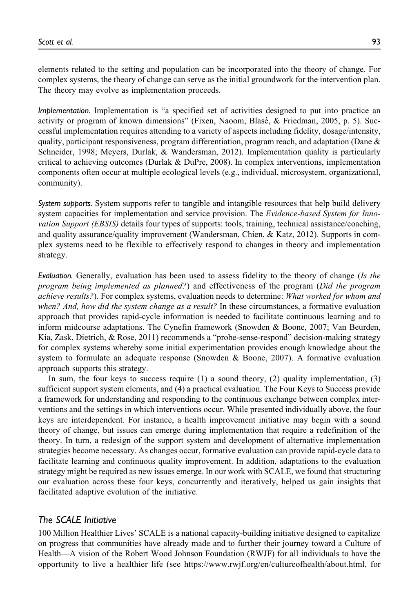elements related to the setting and population can be incorporated into the theory of change. For complex systems, the theory of change can serve as the initial groundwork for the intervention plan. The theory may evolve as implementation proceeds.

Implementation. Implementation is "a specified set of activities designed to put into practice an activity or program of known dimensions" (Fixen, Naoom, Blasé, & Friedman, 2005, p. 5). Successful implementation requires attending to a variety of aspects including fidelity, dosage/intensity, quality, participant responsiveness, program differentiation, program reach, and adaptation (Dane & Schneider, 1998; Meyers, Durlak, & Wandersman, 2012). Implementation quality is particularly critical to achieving outcomes (Durlak  $&$  DuPre, 2008). In complex interventions, implementation components often occur at multiple ecological levels (e.g., individual, microsystem, organizational, community).

System supports. System supports refer to tangible and intangible resources that help build delivery system capacities for implementation and service provision. The *Evidence-based System for Inno*vation Support (EBSIS) details four types of supports: tools, training, technical assistance/coaching, and quality assurance/quality improvement (Wandersman, Chien, & Katz, 2012). Supports in complex systems need to be flexible to effectively respond to changes in theory and implementation strategy.

Evaluation. Generally, evaluation has been used to assess fidelity to the theory of change (Is the program being implemented as planned?) and effectiveness of the program (Did the program achieve results?). For complex systems, evaluation needs to determine: What worked for whom and when? And, how did the system change as a result? In these circumstances, a formative evaluation approach that provides rapid-cycle information is needed to facilitate continuous learning and to inform midcourse adaptations. The Cynefin framework (Snowden & Boone, 2007; Van Beurden, Kia, Zask, Dietrich, & Rose, 2011) recommends a "probe-sense-respond" decision-making strategy for complex systems whereby some initial experimentation provides enough knowledge about the system to formulate an adequate response (Snowden & Boone, 2007). A formative evaluation approach supports this strategy.

In sum, the four keys to success require  $(1)$  a sound theory,  $(2)$  quality implementation,  $(3)$ sufficient support system elements, and (4) a practical evaluation. The Four Keys to Success provide a framework for understanding and responding to the continuous exchange between complex interventions and the settings in which interventions occur. While presented individually above, the four keys are interdependent. For instance, a health improvement initiative may begin with a sound theory of change, but issues can emerge during implementation that require a redefinition of the theory. In turn, a redesign of the support system and development of alternative implementation strategies become necessary. As changes occur, formative evaluation can provide rapid-cycle data to facilitate learning and continuous quality improvement. In addition, adaptations to the evaluation strategy might be required as new issues emerge. In our work with SCALE, we found that structuring our evaluation across these four keys, concurrently and iteratively, helped us gain insights that facilitated adaptive evolution of the initiative.

## The SCALE Initiative

100 Million Healthier Lives' SCALE is a national capacity-building initiative designed to capitalize on progress that communities have already made and to further their journey toward a Culture of Health—A vision of the Robert Wood Johnson Foundation (RWJF) for all individuals to have the opportunity to live a healthier life (see<https://www.rwjf.org/en/cultureofhealth/about.html>, for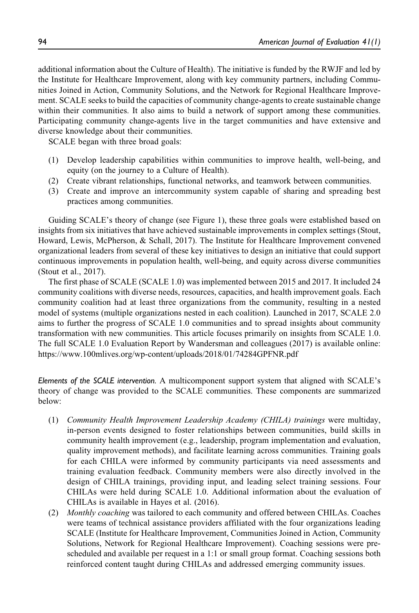additional information about the Culture of Health). The initiative is funded by the RWJF and led by the Institute for Healthcare Improvement, along with key community partners, including Communities Joined in Action, Community Solutions, and the Network for Regional Healthcare Improvement. SCALE seeks to build the capacities of community change-agents to create sustainable change within their communities. It also aims to build a network of support among these communities. Participating community change-agents live in the target communities and have extensive and diverse knowledge about their communities.

SCALE began with three broad goals:

- (1) Develop leadership capabilities within communities to improve health, well-being, and equity (on the journey to a Culture of Health).
- (2) Create vibrant relationships, functional networks, and teamwork between communities.
- (3) Create and improve an intercommunity system capable of sharing and spreading best practices among communities.

Guiding SCALE's theory of change (see Figure 1), these three goals were established based on insights from six initiatives that have achieved sustainable improvements in complex settings (Stout, Howard, Lewis, McPherson, & Schall, 2017). The Institute for Healthcare Improvement convened organizational leaders from several of these key initiatives to design an initiative that could support continuous improvements in population health, well-being, and equity across diverse communities (Stout et al., 2017).

The first phase of SCALE (SCALE 1.0) was implemented between 2015 and 2017. It included 24 community coalitions with diverse needs, resources, capacities, and health improvement goals. Each community coalition had at least three organizations from the community, resulting in a nested model of systems (multiple organizations nested in each coalition). Launched in 2017, SCALE 2.0 aims to further the progress of SCALE 1.0 communities and to spread insights about community transformation with new communities. This article focuses primarily on insights from SCALE 1.0. The full SCALE 1.0 Evaluation Report by Wandersman and colleagues (2017) is available online: <https://www.100mlives.org/wp-content/uploads/2018/01/74284GPFNR.pdf>

Elements of the SCALE intervention. A multicomponent support system that aligned with SCALE's theory of change was provided to the SCALE communities. These components are summarized below:

- (1) Community Health Improvement Leadership Academy (CHILA) trainings were multiday, in-person events designed to foster relationships between communities, build skills in community health improvement (e.g., leadership, program implementation and evaluation, quality improvement methods), and facilitate learning across communities. Training goals for each CHILA were informed by community participants via need assessments and training evaluation feedback. Community members were also directly involved in the design of CHILA trainings, providing input, and leading select training sessions. Four CHILAs were held during SCALE 1.0. Additional information about the evaluation of CHILAs is available in Hayes et al. (2016).
- (2) Monthly coaching was tailored to each community and offered between CHILAs. Coaches were teams of technical assistance providers affiliated with the four organizations leading SCALE (Institute for Healthcare Improvement, Communities Joined in Action, Community Solutions, Network for Regional Healthcare Improvement). Coaching sessions were prescheduled and available per request in a 1:1 or small group format. Coaching sessions both reinforced content taught during CHILAs and addressed emerging community issues.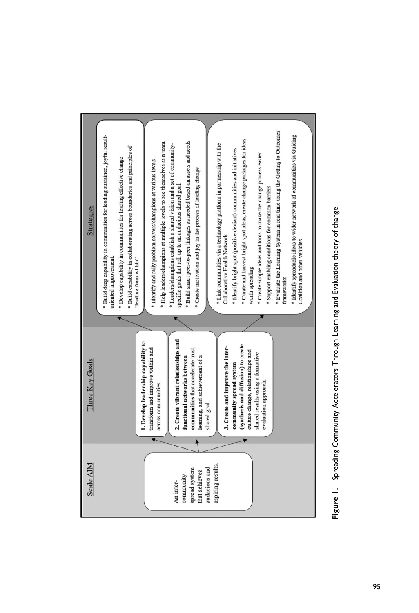

Figure 1. Spreading Community Accelerators Through Learning and Evaluation theory of change. Figure 1. Spreading Community Accelerators Through Learning and Evaluation theory of change.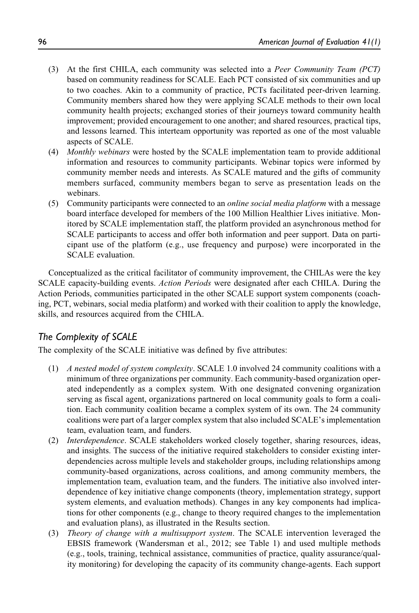- (3) At the first CHILA, each community was selected into a Peer Community Team (PCT) based on community readiness for SCALE. Each PCT consisted of six communities and up to two coaches. Akin to a community of practice, PCTs facilitated peer-driven learning. Community members shared how they were applying SCALE methods to their own local community health projects; exchanged stories of their journeys toward community health improvement; provided encouragement to one another; and shared resources, practical tips, and lessons learned. This interteam opportunity was reported as one of the most valuable aspects of SCALE.
- (4) Monthly webinars were hosted by the SCALE implementation team to provide additional information and resources to community participants. Webinar topics were informed by community member needs and interests. As SCALE matured and the gifts of community members surfaced, community members began to serve as presentation leads on the webinars.
- (5) Community participants were connected to an online social media platform with a message board interface developed for members of the 100 Million Healthier Lives initiative. Monitored by SCALE implementation staff, the platform provided an asynchronous method for SCALE participants to access and offer both information and peer support. Data on participant use of the platform (e.g., use frequency and purpose) were incorporated in the SCALE evaluation.

Conceptualized as the critical facilitator of community improvement, the CHILAs were the key SCALE capacity-building events. Action Periods were designated after each CHILA. During the Action Periods, communities participated in the other SCALE support system components (coaching, PCT, webinars, social media platform) and worked with their coalition to apply the knowledge, skills, and resources acquired from the CHILA.

# The Complexity of SCALE

The complexity of the SCALE initiative was defined by five attributes:

- (1) A nested model of system complexity. SCALE 1.0 involved 24 community coalitions with a minimum of three organizations per community. Each community-based organization operated independently as a complex system. With one designated convening organization serving as fiscal agent, organizations partnered on local community goals to form a coalition. Each community coalition became a complex system of its own. The 24 community coalitions were part of a larger complex system that also included SCALE's implementation team, evaluation team, and funders.
- (2) Interdependence. SCALE stakeholders worked closely together, sharing resources, ideas, and insights. The success of the initiative required stakeholders to consider existing interdependencies across multiple levels and stakeholder groups, including relationships among community-based organizations, across coalitions, and among community members, the implementation team, evaluation team, and the funders. The initiative also involved interdependence of key initiative change components (theory, implementation strategy, support system elements, and evaluation methods). Changes in any key components had implications for other components (e.g., change to theory required changes to the implementation and evaluation plans), as illustrated in the Results section.
- (3) Theory of change with a multisupport system. The SCALE intervention leveraged the EBSIS framework (Wandersman et al., 2012; see Table 1) and used multiple methods (e.g., tools, training, technical assistance, communities of practice, quality assurance/quality monitoring) for developing the capacity of its community change-agents. Each support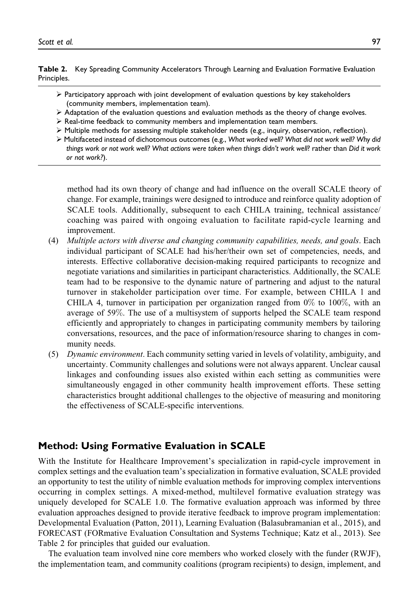Table 2. Key Spreading Community Accelerators Through Learning and Evaluation Formative Evaluation Principles.

- > Participatory approach with joint development of evaluation questions by key stakeholders (community members, implementation team).
- > Adaptation of the evaluation questions and evaluation methods as the theory of change evolves.
- > Real-time feedback to community members and implementation team members.
- > Multiple methods for assessing multiple stakeholder needs (e.g., inquiry, observation, reflection).
- > Multifaceted instead of dichotomous outcomes (e.g., What worked well? What did not work well? Why did things work or not work well? What actions were taken when things didn't work well? rather than Did it work or not work?).

method had its own theory of change and had influence on the overall SCALE theory of change. For example, trainings were designed to introduce and reinforce quality adoption of SCALE tools. Additionally, subsequent to each CHILA training, technical assistance/ coaching was paired with ongoing evaluation to facilitate rapid-cycle learning and improvement.

- (4) Multiple actors with diverse and changing community capabilities, needs, and goals. Each individual participant of SCALE had his/her/their own set of competencies, needs, and interests. Effective collaborative decision-making required participants to recognize and negotiate variations and similarities in participant characteristics. Additionally, the SCALE team had to be responsive to the dynamic nature of partnering and adjust to the natural turnover in stakeholder participation over time. For example, between CHILA 1 and CHILA 4, turnover in participation per organization ranged from 0% to 100%, with an average of 59%. The use of a multisystem of supports helped the SCALE team respond efficiently and appropriately to changes in participating community members by tailoring conversations, resources, and the pace of information/resource sharing to changes in community needs.
- (5) Dynamic environment. Each community setting varied in levels of volatility, ambiguity, and uncertainty. Community challenges and solutions were not always apparent. Unclear causal linkages and confounding issues also existed within each setting as communities were simultaneously engaged in other community health improvement efforts. These setting characteristics brought additional challenges to the objective of measuring and monitoring the effectiveness of SCALE-specific interventions.

### Method: Using Formative Evaluation in SCALE

With the Institute for Healthcare Improvement's specialization in rapid-cycle improvement in complex settings and the evaluation team's specialization in formative evaluation, SCALE provided an opportunity to test the utility of nimble evaluation methods for improving complex interventions occurring in complex settings. A mixed-method, multilevel formative evaluation strategy was uniquely developed for SCALE 1.0. The formative evaluation approach was informed by three evaluation approaches designed to provide iterative feedback to improve program implementation: Developmental Evaluation (Patton, 2011), Learning Evaluation (Balasubramanian et al., 2015), and FORECAST (FORmative Evaluation Consultation and Systems Technique; Katz et al., 2013). See Table 2 for principles that guided our evaluation.

The evaluation team involved nine core members who worked closely with the funder (RWJF), the implementation team, and community coalitions (program recipients) to design, implement, and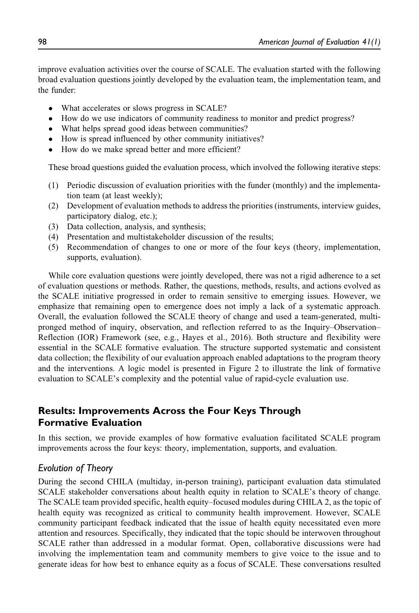improve evaluation activities over the course of SCALE. The evaluation started with the following broad evaluation questions jointly developed by the evaluation team, the implementation team, and the funder:

- $\bullet$ What accelerates or slows progress in SCALE?
- $\bullet$ How do we use indicators of community readiness to monitor and predict progress?
- What helps spread good ideas between communities?
- How is spread influenced by other community initiatives?
- $\bullet$ How do we make spread better and more efficient?

These broad questions guided the evaluation process, which involved the following iterative steps:

- (1) Periodic discussion of evaluation priorities with the funder (monthly) and the implementation team (at least weekly);
- (2) Development of evaluation methods to address the priorities (instruments, interview guides, participatory dialog, etc.);
- (3) Data collection, analysis, and synthesis;
- (4) Presentation and multistakeholder discussion of the results;
- (5) Recommendation of changes to one or more of the four keys (theory, implementation, supports, evaluation).

While core evaluation questions were jointly developed, there was not a rigid adherence to a set of evaluation questions or methods. Rather, the questions, methods, results, and actions evolved as the SCALE initiative progressed in order to remain sensitive to emerging issues. However, we emphasize that remaining open to emergence does not imply a lack of a systematic approach. Overall, the evaluation followed the SCALE theory of change and used a team-generated, multipronged method of inquiry, observation, and reflection referred to as the Inquiry–Observation– Reflection (IOR) Framework (see, e.g., Hayes et al., 2016). Both structure and flexibility were essential in the SCALE formative evaluation. The structure supported systematic and consistent data collection; the flexibility of our evaluation approach enabled adaptations to the program theory and the interventions. A logic model is presented in Figure 2 to illustrate the link of formative evaluation to SCALE's complexity and the potential value of rapid-cycle evaluation use.

# Results: Improvements Across the Four Keys Through Formative Evaluation

In this section, we provide examples of how formative evaluation facilitated SCALE program improvements across the four keys: theory, implementation, supports, and evaluation.

# Evolution of Theory

During the second CHILA (multiday, in-person training), participant evaluation data stimulated SCALE stakeholder conversations about health equity in relation to SCALE's theory of change. The SCALE team provided specific, health equity–focused modules during CHILA 2, as the topic of health equity was recognized as critical to community health improvement. However, SCALE community participant feedback indicated that the issue of health equity necessitated even more attention and resources. Specifically, they indicated that the topic should be interwoven throughout SCALE rather than addressed in a modular format. Open, collaborative discussions were had involving the implementation team and community members to give voice to the issue and to generate ideas for how best to enhance equity as a focus of SCALE. These conversations resulted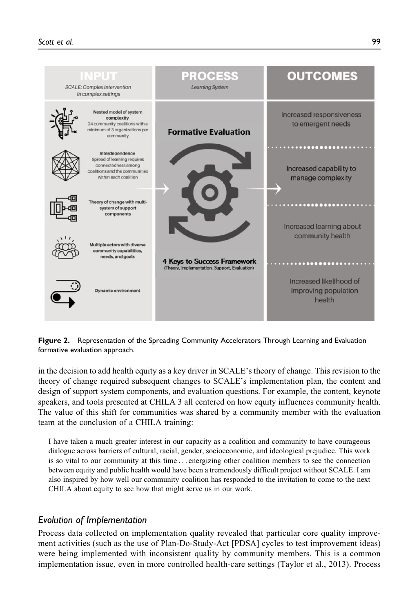

Figure 2. Representation of the Spreading Community Accelerators Through Learning and Evaluation formative evaluation approach.

in the decision to add health equity as a key driver in SCALE's theory of change. This revision to the theory of change required subsequent changes to SCALE's implementation plan, the content and design of support system components, and evaluation questions. For example, the content, keynote speakers, and tools presented at CHILA 3 all centered on how equity influences community health. The value of this shift for communities was shared by a community member with the evaluation team at the conclusion of a CHILA training:

I have taken a much greater interest in our capacity as a coalition and community to have courageous dialogue across barriers of cultural, racial, gender, socioeconomic, and ideological prejudice. This work is so vital to our community at this time ... energizing other coalition members to see the connection between equity and public health would have been a tremendously difficult project without SCALE. I am also inspired by how well our community coalition has responded to the invitation to come to the next CHILA about equity to see how that might serve us in our work.

# Evolution of Implementation

Process data collected on implementation quality revealed that particular core quality improvement activities (such as the use of Plan-Do-Study-Act [PDSA] cycles to test improvement ideas) were being implemented with inconsistent quality by community members. This is a common implementation issue, even in more controlled health-care settings (Taylor et al., 2013). Process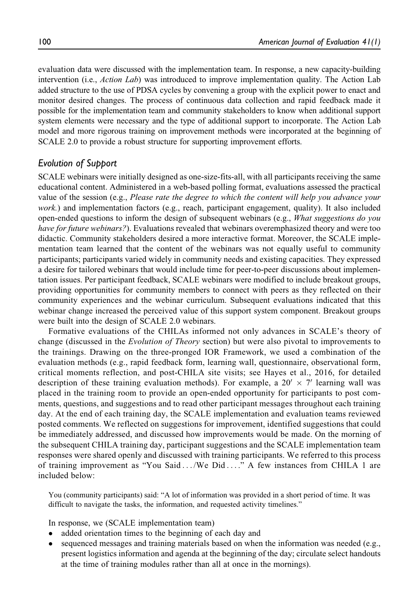evaluation data were discussed with the implementation team. In response, a new capacity-building intervention (i.e., *Action Lab*) was introduced to improve implementation quality. The Action Lab added structure to the use of PDSA cycles by convening a group with the explicit power to enact and monitor desired changes. The process of continuous data collection and rapid feedback made it possible for the implementation team and community stakeholders to know when additional support system elements were necessary and the type of additional support to incorporate. The Action Lab model and more rigorous training on improvement methods were incorporated at the beginning of SCALE 2.0 to provide a robust structure for supporting improvement efforts.

## Evolution of Support

SCALE webinars were initially designed as one-size-fits-all, with all participants receiving the same educational content. Administered in a web-based polling format, evaluations assessed the practical value of the session (e.g., Please rate the degree to which the content will help you advance your work.) and implementation factors (e.g., reach, participant engagement, quality). It also included open-ended questions to inform the design of subsequent webinars (e.g., What suggestions do you have for future webinars?). Evaluations revealed that webinars overemphasized theory and were too didactic. Community stakeholders desired a more interactive format. Moreover, the SCALE implementation team learned that the content of the webinars was not equally useful to community participants; participants varied widely in community needs and existing capacities. They expressed a desire for tailored webinars that would include time for peer-to-peer discussions about implementation issues. Per participant feedback, SCALE webinars were modified to include breakout groups, providing opportunities for community members to connect with peers as they reflected on their community experiences and the webinar curriculum. Subsequent evaluations indicated that this webinar change increased the perceived value of this support system component. Breakout groups were built into the design of SCALE 2.0 webinars.

Formative evaluations of the CHILAs informed not only advances in SCALE's theory of change (discussed in the Evolution of Theory section) but were also pivotal to improvements to the trainings. Drawing on the three-pronged IOR Framework, we used a combination of the evaluation methods (e.g., rapid feedback form, learning wall, questionnaire, observational form, critical moments reflection, and post-CHILA site visits; see Hayes et al., 2016, for detailed description of these training evaluation methods). For example, a  $20' \times 7'$  learning wall was placed in the training room to provide an open-ended opportunity for participants to post comments, questions, and suggestions and to read other participant messages throughout each training day. At the end of each training day, the SCALE implementation and evaluation teams reviewed posted comments. We reflected on suggestions for improvement, identified suggestions that could be immediately addressed, and discussed how improvements would be made. On the morning of the subsequent CHILA training day, participant suggestions and the SCALE implementation team responses were shared openly and discussed with training participants. We referred to this process of training improvement as "You Said ... /We Did ... ." A few instances from CHILA 1 are included below:

You (community participants) said: "A lot of information was provided in a short period of time. It was difficult to navigate the tasks, the information, and requested activity timelines."

In response, we (SCALE implementation team)

- $\bullet$ added orientation times to the beginning of each day and
- $\bullet$  sequenced messages and training materials based on when the information was needed (e.g., present logistics information and agenda at the beginning of the day; circulate select handouts at the time of training modules rather than all at once in the mornings).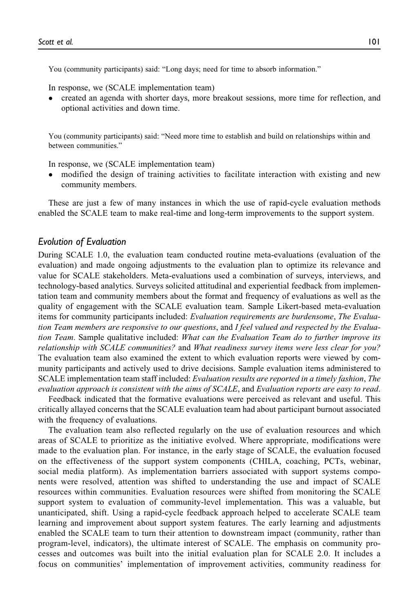You (community participants) said: "Long days; need for time to absorb information."

In response, we (SCALE implementation team)

 $\bullet$  created an agenda with shorter days, more breakout sessions, more time for reflection, and optional activities and down time.

You (community participants) said: "Need more time to establish and build on relationships within and between communities."

In response, we (SCALE implementation team)

 $\bullet$  modified the design of training activities to facilitate interaction with existing and new community members.

These are just a few of many instances in which the use of rapid-cycle evaluation methods enabled the SCALE team to make real-time and long-term improvements to the support system.

### Evolution of Evaluation

During SCALE 1.0, the evaluation team conducted routine meta-evaluations (evaluation of the evaluation) and made ongoing adjustments to the evaluation plan to optimize its relevance and value for SCALE stakeholders. Meta-evaluations used a combination of surveys, interviews, and technology-based analytics. Surveys solicited attitudinal and experiential feedback from implementation team and community members about the format and frequency of evaluations as well as the quality of engagement with the SCALE evaluation team. Sample Likert-based meta-evaluation items for community participants included: *Evaluation requirements are burdensome*, The Evaluation Team members are responsive to our questions, and I feel valued and respected by the Evaluation Team. Sample qualitative included: What can the Evaluation Team do to further improve its relationship with SCALE communities? and What readiness survey items were less clear for you? The evaluation team also examined the extent to which evaluation reports were viewed by community participants and actively used to drive decisions. Sample evaluation items administered to SCALE implementation team staff included: Evaluation results are reported in a timely fashion, The evaluation approach is consistent with the aims of SCALE, and Evaluation reports are easy to read.

Feedback indicated that the formative evaluations were perceived as relevant and useful. This critically allayed concerns that the SCALE evaluation team had about participant burnout associated with the frequency of evaluations.

The evaluation team also reflected regularly on the use of evaluation resources and which areas of SCALE to prioritize as the initiative evolved. Where appropriate, modifications were made to the evaluation plan. For instance, in the early stage of SCALE, the evaluation focused on the effectiveness of the support system components (CHILA, coaching, PCTs, webinar, social media platform). As implementation barriers associated with support systems components were resolved, attention was shifted to understanding the use and impact of SCALE resources within communities. Evaluation resources were shifted from monitoring the SCALE support system to evaluation of community-level implementation. This was a valuable, but unanticipated, shift. Using a rapid-cycle feedback approach helped to accelerate SCALE team learning and improvement about support system features. The early learning and adjustments enabled the SCALE team to turn their attention to downstream impact (community, rather than program-level, indicators), the ultimate interest of SCALE. The emphasis on community processes and outcomes was built into the initial evaluation plan for SCALE 2.0. It includes a focus on communities' implementation of improvement activities, community readiness for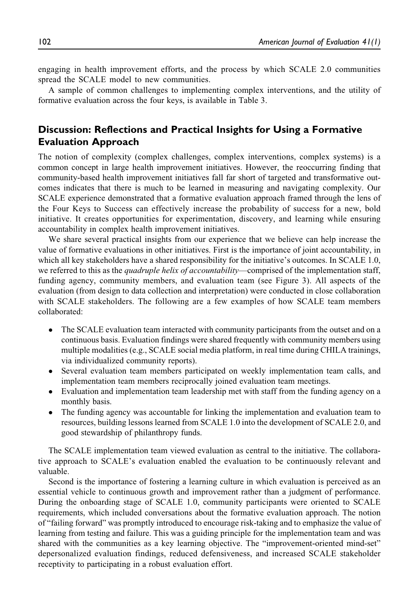engaging in health improvement efforts, and the process by which SCALE 2.0 communities spread the SCALE model to new communities.

A sample of common challenges to implementing complex interventions, and the utility of formative evaluation across the four keys, is available in Table 3.

# Discussion: Reflections and Practical Insights for Using a Formative Evaluation Approach

The notion of complexity (complex challenges, complex interventions, complex systems) is a common concept in large health improvement initiatives. However, the reoccurring finding that community-based health improvement initiatives fall far short of targeted and transformative outcomes indicates that there is much to be learned in measuring and navigating complexity. Our SCALE experience demonstrated that a formative evaluation approach framed through the lens of the Four Keys to Success can effectively increase the probability of success for a new, bold initiative. It creates opportunities for experimentation, discovery, and learning while ensuring accountability in complex health improvement initiatives.

We share several practical insights from our experience that we believe can help increase the value of formative evaluations in other initiatives. First is the importance of joint accountability, in which all key stakeholders have a shared responsibility for the initiative's outcomes. In SCALE 1.0, we referred to this as the *quadruple helix of accountability*—comprised of the implementation staff, funding agency, community members, and evaluation team (see Figure 3). All aspects of the evaluation (from design to data collection and interpretation) were conducted in close collaboration with SCALE stakeholders. The following are a few examples of how SCALE team members collaborated:

- - The SCALE evaluation team interacted with community participants from the outset and on a continuous basis. Evaluation findings were shared frequently with community members using multiple modalities (e.g., SCALE social media platform, in real time during CHILA trainings, via individualized community reports).
- Several evaluation team members participated on weekly implementation team calls, and implementation team members reciprocally joined evaluation team meetings.
- Evaluation and implementation team leadership met with staff from the funding agency on a monthly basis.
- The funding agency was accountable for linking the implementation and evaluation team to resources, building lessons learned from SCALE 1.0 into the development of SCALE 2.0, and good stewardship of philanthropy funds.

The SCALE implementation team viewed evaluation as central to the initiative. The collaborative approach to SCALE's evaluation enabled the evaluation to be continuously relevant and valuable.

Second is the importance of fostering a learning culture in which evaluation is perceived as an essential vehicle to continuous growth and improvement rather than a judgment of performance. During the onboarding stage of SCALE 1.0, community participants were oriented to SCALE requirements, which included conversations about the formative evaluation approach. The notion of "failing forward" was promptly introduced to encourage risk-taking and to emphasize the value of learning from testing and failure. This was a guiding principle for the implementation team and was shared with the communities as a key learning objective. The "improvement-oriented mind-set" depersonalized evaluation findings, reduced defensiveness, and increased SCALE stakeholder receptivity to participating in a robust evaluation effort.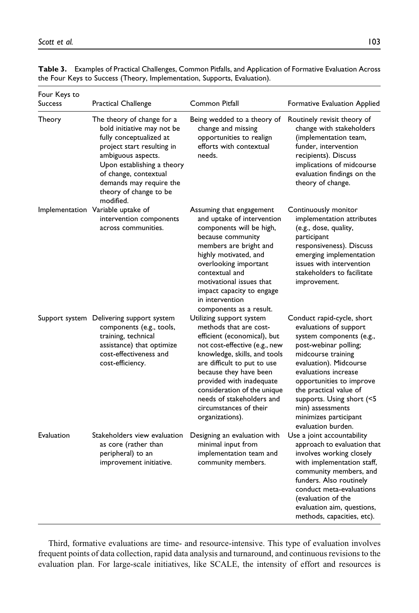| Four Keys to<br><b>Success</b> | <b>Practical Challenge</b>                                                                                                                                                                                                                                       | Common Pitfall                                                                                                                                                                                                                                                                                                                                   | <b>Formative Evaluation Applied</b>                                                                                                                                                                                                                                                                                                     |
|--------------------------------|------------------------------------------------------------------------------------------------------------------------------------------------------------------------------------------------------------------------------------------------------------------|--------------------------------------------------------------------------------------------------------------------------------------------------------------------------------------------------------------------------------------------------------------------------------------------------------------------------------------------------|-----------------------------------------------------------------------------------------------------------------------------------------------------------------------------------------------------------------------------------------------------------------------------------------------------------------------------------------|
| Theory                         | The theory of change for a<br>bold initiative may not be<br>fully conceptualized at<br>project start resulting in<br>ambiguous aspects.<br>Upon establishing a theory<br>of change, contextual<br>demands may require the<br>theory of change to be<br>modified. | Being wedded to a theory of<br>change and missing<br>opportunities to realign<br>efforts with contextual<br>needs.                                                                                                                                                                                                                               | Routinely revisit theory of<br>change with stakeholders<br>(implementation team,<br>funder, intervention<br>recipients). Discuss<br>implications of midcourse<br>evaluation findings on the<br>theory of change.                                                                                                                        |
|                                | Implementation Variable uptake of<br>intervention components<br>across communities.                                                                                                                                                                              | Assuming that engagement<br>and uptake of intervention<br>components will be high,<br>because community<br>members are bright and<br>highly motivated, and<br>overlooking important<br>contextual and<br>motivational issues that<br>impact capacity to engage<br>in intervention<br>components as a result.                                     | Continuously monitor<br>implementation attributes<br>(e.g., dose, quality,<br>participant<br>responsiveness). Discuss<br>emerging implementation<br>issues with intervention<br>stakeholders to facilitate<br>improvement.                                                                                                              |
|                                | Support system Delivering support system<br>components (e.g., tools,<br>training, technical<br>assistance) that optimize<br>cost-effectiveness and<br>cost-efficiency.                                                                                           | Utilizing support system<br>methods that are cost-<br>efficient (economical), but<br>not cost-effective (e.g., new<br>knowledge, skills, and tools<br>are difficult to put to use<br>because they have been<br>provided with inadequate<br>consideration of the unique<br>needs of stakeholders and<br>circumstances of their<br>organizations). | Conduct rapid-cycle, short<br>evaluations of support<br>system components (e.g.,<br>post-webinar polling;<br>midcourse training<br>evaluation). Midcourse<br>evaluations increase<br>opportunities to improve<br>the practical value of<br>supports. Using short (<5<br>min) assessments<br>minimizes participant<br>evaluation burden. |
| Evaluation                     | Stakeholders view evaluation<br>as core (rather than<br>peripheral) to an<br>improvement initiative.                                                                                                                                                             | Designing an evaluation with<br>minimal input from<br>implementation team and<br>community members.                                                                                                                                                                                                                                              | Use a joint accountability<br>approach to evaluation that<br>involves working closely<br>with implementation staff,<br>community members, and<br>funders. Also routinely<br>conduct meta-evaluations<br>(evaluation of the<br>evaluation aim, questions,<br>methods, capacities, etc).                                                  |

Table 3. Examples of Practical Challenges, Common Pitfalls, and Application of Formative Evaluation Across the Four Keys to Success (Theory, Implementation, Supports, Evaluation).

Third, formative evaluations are time- and resource-intensive. This type of evaluation involves frequent points of data collection, rapid data analysis and turnaround, and continuous revisions to the evaluation plan. For large-scale initiatives, like SCALE, the intensity of effort and resources is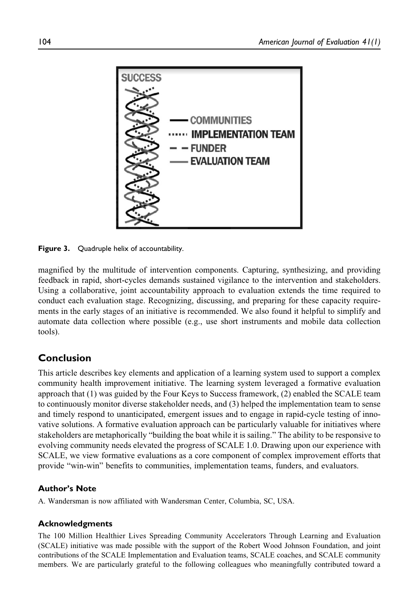

Figure 3. Quadruple helix of accountability.

magnified by the multitude of intervention components. Capturing, synthesizing, and providing feedback in rapid, short-cycles demands sustained vigilance to the intervention and stakeholders. Using a collaborative, joint accountability approach to evaluation extends the time required to conduct each evaluation stage. Recognizing, discussing, and preparing for these capacity requirements in the early stages of an initiative is recommended. We also found it helpful to simplify and automate data collection where possible (e.g., use short instruments and mobile data collection tools).

# Conclusion

This article describes key elements and application of a learning system used to support a complex community health improvement initiative. The learning system leveraged a formative evaluation approach that (1) was guided by the Four Keys to Success framework, (2) enabled the SCALE team to continuously monitor diverse stakeholder needs, and (3) helped the implementation team to sense and timely respond to unanticipated, emergent issues and to engage in rapid-cycle testing of innovative solutions. A formative evaluation approach can be particularly valuable for initiatives where stakeholders are metaphorically "building the boat while it is sailing." The ability to be responsive to evolving community needs elevated the progress of SCALE 1.0. Drawing upon our experience with SCALE, we view formative evaluations as a core component of complex improvement efforts that provide "win-win" benefits to communities, implementation teams, funders, and evaluators.

## Author's Note

A. Wandersman is now affiliated with Wandersman Center, Columbia, SC, USA.

## Acknowledgments

The 100 Million Healthier Lives Spreading Community Accelerators Through Learning and Evaluation (SCALE) initiative was made possible with the support of the Robert Wood Johnson Foundation, and joint contributions of the SCALE Implementation and Evaluation teams, SCALE coaches, and SCALE community members. We are particularly grateful to the following colleagues who meaningfully contributed toward a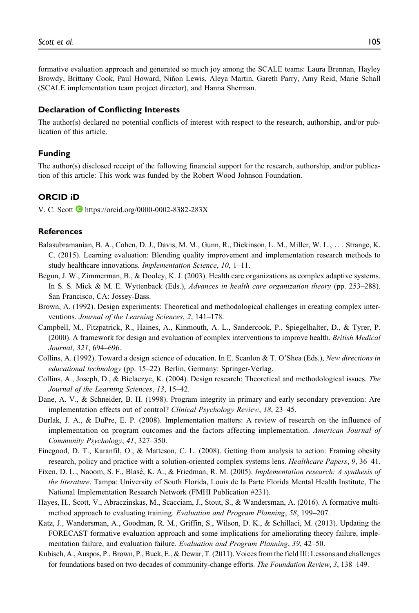formative evaluation approach and generated so much joy among the SCALE teams: Laura Brennan, Hayley Browdy, Brittany Cook, Paul Howard, Niñon Lewis, Aleya Martin, Gareth Parry, Amy Reid, Marie Schall (SCALE implementation team project director), and Hanna Sherman.

#### Declaration of Conflicting Interests

The author(s) declared no potential conflicts of interest with respect to the research, authorship, and/or publication of this article.

#### Funding

The author(s) disclosed receipt of the following financial support for the research, authorship, and/or publication of this article: This work was funded by the Robert Wood Johnson Foundation.

#### ORCID iD

V. C. Scott **<https://orcid.org/0000-0002-8382-283X>** 

#### References

- Balasubramanian, B. A., Cohen, D. J., Davis, M. M., Gunn, R., Dickinson, L. M., Miller, W. L., ... Strange, K. C. (2015). Learning evaluation: Blending quality improvement and implementation research methods to study healthcare innovations. Implementation Science, 10, 1–11.
- Begun, J. W., Zimmerman, B., & Dooley, K. J. (2003). Health care organizations as complex adaptive systems. In S. S. Mick & M. E. Wyttenback (Eds.), *Advances in health care organization theory* (pp. 253–288). San Francisco, CA: Jossey-Bass.
- Brown, A. (1992). Design experiments: Theoretical and methodological challenges in creating complex interventions. Journal of the Learning Sciences, 2, 141–178.
- Campbell, M., Fitzpatrick, R., Haines, A., Kinmouth, A. L., Sandercook, P., Spiegelhalter, D., & Tyrer, P. (2000). A framework for design and evaluation of complex interventions to improve health. British Medical Journal, 321, 694–696.
- Collins, A. (1992). Toward a design science of education. In E. Scanlon & T. O'Shea (Eds.), New directions in educational technology (pp. 15–22). Berlin, Germany: Springer-Verlag.
- Collins, A., Joseph, D., & Bielaczyc, K. (2004). Design research: Theoretical and methodological issues. The Journal of the Learning Sciences, 13, 15–42.
- Dane, A. V., & Schneider, B. H. (1998). Program integrity in primary and early secondary prevention: Are implementation effects out of control? Clinical Psychology Review, 18, 23–45.
- Durlak, J. A., & DuPre, E. P. (2008). Implementation matters: A review of research on the influence of implementation on program outcomes and the factors affecting implementation. American Journal of Community Psychology, 41, 327–350.
- Finegood, D. T., Karanfil, O., & Matteson, C. L. (2008). Getting from analysis to action: Framing obesity research, policy and practice with a solution-oriented complex systems lens. *Healthcare Papers*, 9, 36–41.
- Fixen, D. L., Naoom, S. F., Blasé, K. A., & Friedman, R. M. (2005). Implementation research: A synthesis of the literature. Tampa: University of South Florida, Louis de la Parte Florida Mental Health Institute, The National Implementation Research Network (FMHI Publication #231).
- Hayes, H., Scott, V., Abraczinskas, M., Scacciam, J., Stout, S., & Wandersman, A. (2016). A formative multimethod approach to evaluating training. Evaluation and Program Planning, 58, 199–207.
- Katz, J., Wandersman, A., Goodman, R. M., Griffin, S., Wilson, D. K., & Schillaci, M. (2013). Updating the FORECAST formative evaluation approach and some implications for ameliorating theory failure, implementation failure, and evaluation failure. *Evaluation and Program Planning*, 39, 42–50.
- Kubisch, A., Auspos, P., Brown, P., Buck, E., & Dewar, T. (2011). Voices from the field III: Lessons and challenges for foundations based on two decades of community-change efforts. The Foundation Review, 3, 138-149.